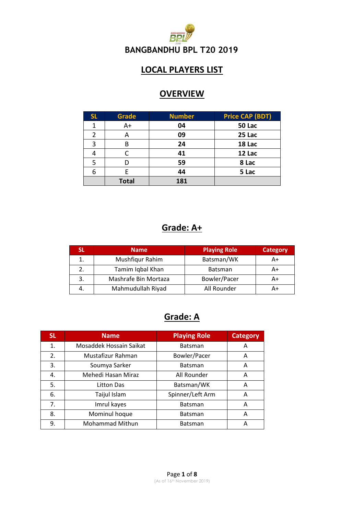

#### **LOCAL PLAYERS LIST**

#### **OVERVIEW**

| <b>SL</b> | Grade        | <b>Number</b> | <b>Price CAP (BDT)</b> |
|-----------|--------------|---------------|------------------------|
| 1         | $A+$         | 04            | <b>50 Lac</b>          |
| 2         | А            | 09            | 25 Lac                 |
| 3         | В            | 24            | 18 Lac                 |
|           |              | 41            | 12 Lac                 |
| 5         |              | 59            | 8 Lac                  |
| 6         | F            | 44            | 5 Lac                  |
|           | <b>Total</b> | 181           |                        |

#### **Grade: A+**

| SL | <b>Name</b>          | <b>Playing Role</b> | <b>Category</b> |
|----|----------------------|---------------------|-----------------|
|    | Mushfiqur Rahim      | Batsman/WK          | A+              |
|    | Tamim Iqbal Khan     | <b>Batsman</b>      | A+              |
| 3. | Mashrafe Bin Mortaza | Bowler/Pacer        | A+              |
| 4. | Mahmudullah Riyad    | All Rounder         | A+              |

#### **Grade: A**

| <b>SL</b> | <b>Name</b>             | <b>Playing Role</b> | <b>Category</b> |
|-----------|-------------------------|---------------------|-----------------|
| 1.        | Mosaddek Hossain Saikat | <b>Batsman</b>      | A               |
| 2.        | Mustafizur Rahman       | Bowler/Pacer        | A               |
| 3.        | Soumya Sarker           | Batsman             | A               |
| 4.        | Mehedi Hasan Miraz      | All Rounder         | A               |
| 5.        | Litton Das              | Batsman/WK          | Α               |
| 6.        | Taijul Islam            | Spinner/Left Arm    | Α               |
| 7.        | Imrul kayes             | <b>Batsman</b>      | Α               |
| 8.        | Mominul hoque           | <b>Batsman</b>      | Α               |
| 9.        | <b>Mohammad Mithun</b>  | <b>Batsman</b>      | Α               |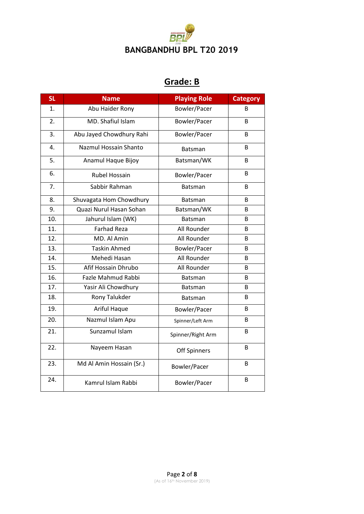

### **Grade: B**

| <b>SL</b> | <b>Name</b>               | <b>Playing Role</b> | <b>Category</b> |
|-----------|---------------------------|---------------------|-----------------|
| 1.        | Abu Haider Rony           | Bowler/Pacer        | B               |
| 2.        | MD. Shafiul Islam         | Bowler/Pacer        | B.              |
| 3.        | Abu Jayed Chowdhury Rahi  | Bowler/Pacer        | B               |
| 4.        | Nazmul Hossain Shanto     | <b>Batsman</b>      | B.              |
| 5.        | Anamul Haque Bijoy        | Batsman/WK          | B               |
| 6.        | <b>Rubel Hossain</b>      | Bowler/Pacer        | B               |
| 7.        | Sabbir Rahman             | Batsman             | B               |
| 8.        | Shuvagata Hom Chowdhury   | <b>Batsman</b>      | B               |
| 9.        | Quazi Nurul Hasan Sohan   | Batsman/WK          | B.              |
| 10.       | Jahurul Islam (WK)        | Batsman             | B               |
| 11.       | <b>Farhad Reza</b>        | All Rounder         | B               |
| 12.       | MD. Al Amin               | All Rounder         | B               |
| 13.       | <b>Taskin Ahmed</b>       | Bowler/Pacer        | B               |
| 14.       | Mehedi Hasan              | All Rounder         | B.              |
| 15.       | Afif Hossain Dhrubo       | All Rounder         | B.              |
| 16.       | <b>Fazle Mahmud Rabbi</b> | Batsman             | B               |
| 17.       | Yasir Ali Chowdhury       | <b>Batsman</b>      | B               |
| 18.       | Rony Talukder             | <b>Batsman</b>      | B               |
| 19.       | Ariful Haque              | Bowler/Pacer        | B               |
| 20.       | Nazmul Islam Apu          | Spinner/Left Arm    | B               |
| 21.       | Sunzamul Islam            | Spinner/Right Arm   | B.              |
| 22.       | Nayeem Hasan              | <b>Off Spinners</b> | B               |
| 23.       | Md Al Amin Hossain (Sr.)  | Bowler/Pacer        | B.              |
| 24.       | Kamrul Islam Rabbi        | Bowler/Pacer        | B               |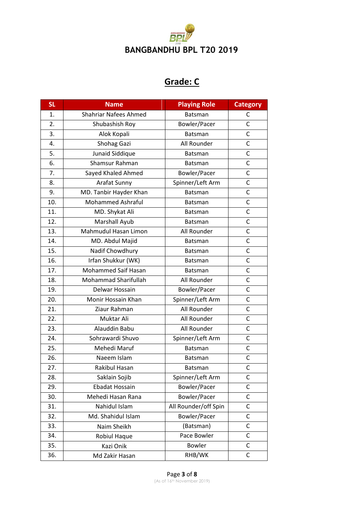

# **Grade: C**

| <b>SL</b> | <b>Name</b>                  | <b>Playing Role</b>  | <b>Category</b> |
|-----------|------------------------------|----------------------|-----------------|
| 1.        | <b>Shahriar Nafees Ahmed</b> | <b>Batsman</b>       | С               |
| 2.        | Shubashish Roy               | Bowler/Pacer         | $\mathsf{C}$    |
| 3.        | Alok Kopali                  | Batsman              | C               |
| 4.        | Shohag Gazi                  | All Rounder          | C               |
| 5.        | Junaid Siddique              | <b>Batsman</b>       | $\mathsf{C}$    |
| 6.        | Shamsur Rahman               | Batsman              | $\mathsf{C}$    |
| 7.        | Sayed Khaled Ahmed           | Bowler/Pacer         | C               |
| 8.        | Arafat Sunny                 | Spinner/Left Arm     | C               |
| 9.        | MD. Tanbir Hayder Khan       | <b>Batsman</b>       | C               |
| 10.       | <b>Mohammed Ashraful</b>     | <b>Batsman</b>       | C               |
| 11.       | MD. Shykat Ali               | <b>Batsman</b>       | C               |
| 12.       | Marshall Ayub                | <b>Batsman</b>       | C               |
| 13.       | Mahmudul Hasan Limon         | All Rounder          | C               |
| 14.       | MD. Abdul Majid              | <b>Batsman</b>       | C               |
| 15.       | Nadif Chowdhury              | <b>Batsman</b>       | C               |
| 16.       | Irfan Shukkur (WK)           | <b>Batsman</b>       | C               |
| 17.       | Mohammed Saif Hasan          | <b>Batsman</b>       | C               |
| 18.       | Mohammad Sharifullah         | All Rounder          | $\mathsf{C}$    |
| 19.       | Delwar Hossain               | Bowler/Pacer         | C               |
| 20.       | Monir Hossain Khan           | Spinner/Left Arm     | C               |
| 21.       | Ziaur Rahman                 | All Rounder          | $\mathsf{C}$    |
| 22.       | Muktar Ali                   | All Rounder          | C               |
| 23.       | Alauddin Babu                | All Rounder          | C               |
| 24.       | Sohrawardi Shuvo             | Spinner/Left Arm     | $\mathsf{C}$    |
| 25.       | Mehedi Maruf                 | Batsman              | С               |
| 26.       | Naeem Islam                  | <b>Batsman</b>       | $\mathsf{C}$    |
| 27.       | Rakibul Hasan                | <b>Batsman</b>       | C               |
| 28.       | Saklain Sojib                | Spinner/Left Arm     | C               |
| 29.       | Ebadat Hossain               | Bowler/Pacer         | C               |
| 30.       | Mehedi Hasan Rana            | Bowler/Pacer         | С               |
| 31.       | Nahidul Islam                | All Rounder/off Spin | C               |
| 32.       | Md. Shahidul Islam           | Bowler/Pacer         | C               |
| 33.       | Naim Sheikh                  | (Batsman)            | С               |
| 34.       | Robiul Haque                 | Pace Bowler          | C               |
| 35.       | Kazi Onik                    | <b>Bowler</b>        | C               |
| 36.       | Md Zakir Hasan               | RHB/WK               | С               |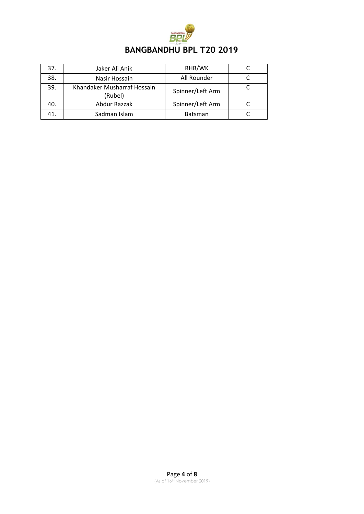

| 37. | Jaker Ali Anik                         | RHB/WK           |  |
|-----|----------------------------------------|------------------|--|
| 38. | Nasir Hossain                          | All Rounder      |  |
| 39. | Khandaker Musharraf Hossain<br>(Rubel) | Spinner/Left Arm |  |
| 40. | Abdur Razzak                           | Spinner/Left Arm |  |
| 41. | Sadman Islam                           | <b>Batsman</b>   |  |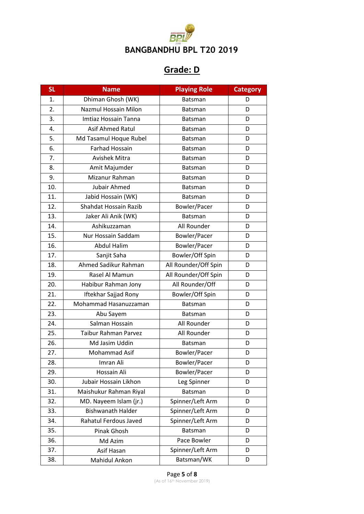

# **Grade: D**

| <b>SL</b> | <b>Name</b>                 | <b>Playing Role</b>  | <b>Category</b> |
|-----------|-----------------------------|----------------------|-----------------|
| 1.        | Dhiman Ghosh (WK)           | <b>Batsman</b>       | D               |
| 2.        | Nazmul Hossain Milon        | Batsman              | D               |
| 3.        | Imtiaz Hossain Tanna        | <b>Batsman</b>       | D               |
| 4.        | Asif Ahmed Ratul            | <b>Batsman</b>       | D               |
| 5.        | Md Tasamul Hoque Rubel      | Batsman              | D               |
| 6.        | <b>Farhad Hossain</b>       | <b>Batsman</b>       | D               |
| 7.        | <b>Avishek Mitra</b>        | <b>Batsman</b>       | D               |
| 8.        | Amit Majumder               | Batsman              | D               |
| 9.        | Mizanur Rahman              | <b>Batsman</b>       | D               |
| 10.       | Jubair Ahmed                | Batsman              | D               |
| 11.       | Jabid Hossain (WK)          | Batsman              | D               |
| 12.       | Shahdat Hossain Razib       | Bowler/Pacer         | D               |
| 13.       | Jaker Ali Anik (WK)         | Batsman              | D               |
| 14.       | Ashikuzzaman                | All Rounder          | D               |
| 15.       | Nur Hossain Saddam          | Bowler/Pacer         | D               |
| 16.       | <b>Abdul Halim</b>          | Bowler/Pacer         | D               |
| 17.       | Sanjit Saha                 | Bowler/Off Spin      | D               |
| 18.       | Ahmed Sadikur Rahman        | All Rounder/Off Spin | D               |
| 19.       | Rasel Al Mamun              | All Rounder/Off Spin | D               |
| 20.       | Habibur Rahman Jony         | All Rounder/Off      | D               |
| 21.       | Iftekhar Sajjad Rony        | Bowler/Off Spin      | D               |
| 22.       | Mohammad Hasanuzzaman       | <b>Batsman</b>       | D               |
| 23.       | Abu Sayem                   | <b>Batsman</b>       | D               |
| 24.       | Salman Hossain              | All Rounder          | D               |
| 25.       | <b>Taibur Rahman Parvez</b> | All Rounder          | D               |
| 26.       | Md Jasim Uddin              | <b>Batsman</b>       | D               |
| 27.       | Mohammad Asif               | Bowler/Pacer         | D               |
| 28.       | Imran Ali                   | Bowler/Pacer         | D               |
| 29.       | Hossain Ali                 | Bowler/Pacer         | D               |
| 30.       | Jubair Hossain Likhon       | Leg Spinner          | D               |
| 31.       | Maishukur Rahman Riyal      | Batsman              | D               |
| 32.       | MD. Nayeem Islam (jr.)      | Spinner/Left Arm     | D               |
| 33.       | <b>Bishwanath Halder</b>    | Spinner/Left Arm     | D               |
| 34.       | Rahatul Ferdous Javed       | Spinner/Left Arm     | D               |
| 35.       | Pinak Ghosh                 | Batsman              | D               |
| 36.       | Md Azim                     | Pace Bowler          | D               |
| 37.       | Asif Hasan                  | Spinner/Left Arm     | D               |
| 38.       | Mahidul Ankon               | Batsman/WK           | D               |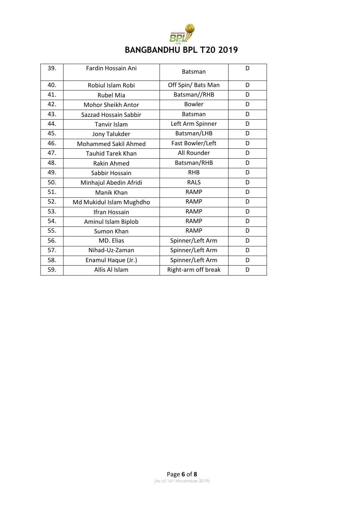| <b>BANGBANDHU BPL T20 2019</b> |  |
|--------------------------------|--|

| 39. | Fardin Hossain Ani          | Batsman             | D |
|-----|-----------------------------|---------------------|---|
| 40. | Robiul Islam Robi           | Off Spin/ Bats Man  | D |
| 41. | <b>Rubel Mia</b>            | Batsman//RHB        | D |
| 42. | Mohor Sheikh Antor          | <b>Bowler</b>       | D |
| 43. | Sazzad Hossain Sabbir       | <b>Batsman</b>      | D |
| 44. | <b>Tanvir Islam</b>         | Left Arm Spinner    | D |
| 45. | Jony Talukder               | Batsman/LHB         | D |
| 46. | <b>Mohammed Sakil Ahmed</b> | Fast Bowler/Left    | D |
| 47. | <b>Tauhid Tarek Khan</b>    | All Rounder         | D |
| 48. | <b>Rakin Ahmed</b>          | Batsman/RHB         | D |
| 49. | Sabbir Hossain              | <b>RHB</b>          | D |
| 50. | Minhajul Abedin Afridi      | <b>RALS</b>         | D |
| 51. | Manik Khan                  | <b>RAMP</b>         | D |
| 52. | Md Mukidul Islam Mughdho    | <b>RAMP</b>         | D |
| 53. | Ifran Hossain               | <b>RAMP</b>         | D |
| 54. | Aminul Islam Biplob         | <b>RAMP</b>         | D |
| 55. | Sumon Khan                  | <b>RAMP</b>         | D |
| 56. | MD. Elias                   | Spinner/Left Arm    | D |
| 57. | Nihad-Uz-Zaman              | Spinner/Left Arm    | D |
| 58. | Enamul Haque (Jr.)          | Spinner/Left Arm    | D |
| 59. | Allis Al Islam              | Right-arm off break | D |
|     |                             |                     |   |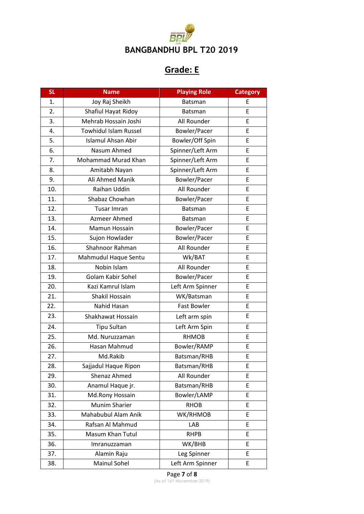

## **Grade: E**

| <b>SL</b> | <b>Name</b>                  | <b>Playing Role</b> | <b>Category</b> |
|-----------|------------------------------|---------------------|-----------------|
| 1.        | Joy Raj Sheikh               | <b>Batsman</b>      | Ε               |
| 2.        | Shafiul Hayat Ridoy          | <b>Batsman</b>      | E.              |
| 3.        | Mehrab Hossain Joshi         | All Rounder         | E               |
| 4.        | <b>Towhidul Islam Russel</b> | Bowler/Pacer        | E               |
| 5.        | <b>Islamul Ahsan Abir</b>    | Bowler/Off Spin     | E               |
| 6.        | Nasum Ahmed                  | Spinner/Left Arm    | E               |
| 7.        | Mohammad Murad Khan          | Spinner/Left Arm    | E               |
| 8.        | Amitabh Nayan                | Spinner/Left Arm    | E               |
| 9.        | Ali Ahmed Manik              | Bowler/Pacer        | E               |
| 10.       | Raihan Uddin                 | All Rounder         | E               |
| 11.       | Shabaz Chowhan               | Bowler/Pacer        | E               |
| 12.       | Tusar Imran                  | <b>Batsman</b>      | E               |
| 13.       | Azmeer Ahmed                 | <b>Batsman</b>      | E               |
| 14.       | Mamun Hossain                | Bowler/Pacer        | E               |
| 15.       | Sujon Howlader               | Bowler/Pacer        | E               |
| 16.       | Shahnoor Rahman              | All Rounder         | E               |
| 17.       | Mahmudul Haque Sentu         | Wk/BAT              | E               |
| 18.       | Nobin Islam                  | All Rounder         | E               |
| 19.       | Golam Kabir Sohel            | Bowler/Pacer        | E               |
| 20.       | Kazi Kamrul Islam            | Left Arm Spinner    | E               |
| 21.       | Shakil Hossain               | WK/Batsman          | E               |
| 22.       | Nahid Hasan                  | Fast Bowler         | E               |
| 23.       | Shakhawat Hossain            | Left arm spin       | E               |
| 24.       | <b>Tipu Sultan</b>           | Left Arm Spin       | E               |
| 25.       | Md. Nuruzzaman               | <b>RHMOB</b>        | E               |
| 26.       | Hasan Mahmud                 | Bowler/RAMP         | E               |
| 27.       | Md.Rakib                     | Batsman/RHB         | E               |
| 28.       | Sajjadul Haque Ripon         | Batsman/RHB         | E               |
| 29.       | Shenaz Ahmed                 | All Rounder         | E               |
| 30.       | Anamul Haque jr.             | Batsman/RHB         | E               |
| 31.       | Md.Rony Hossain              | Bowler/LAMP         | E               |
| 32.       | <b>Munim Sharier</b>         | <b>RHOB</b>         | E               |
| 33.       | Mahabubul Alam Anik          | WK/RHMOB            | E               |
| 34.       | Rafsan Al Mahmud             | LAB                 | E               |
| 35.       | Masum Khan Tutul             | <b>RHPB</b>         | E               |
| 36.       | Imranuzzaman                 | WK/BHB              | E               |
| 37.       | Alamin Raju                  | Leg Spinner         | E               |
| 38.       | Mainul Sohel                 | Left Arm Spinner    | E               |